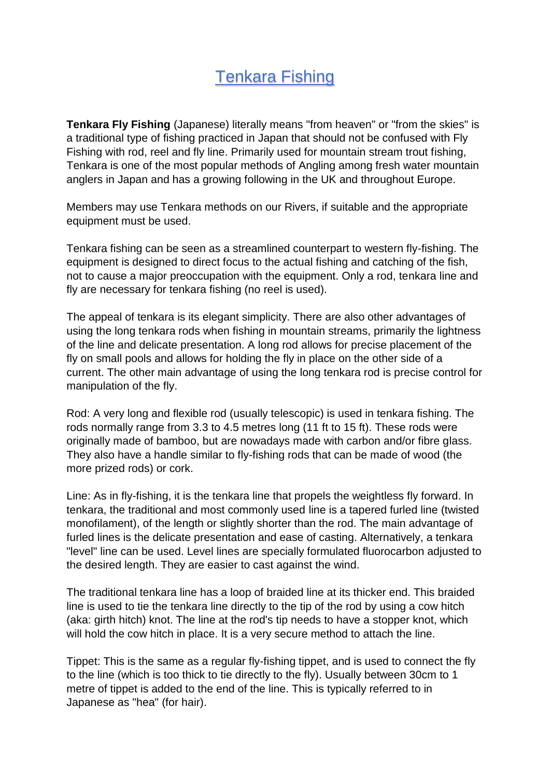## Tenkara Fishing

**Tenkara Fly Fishing** (Japanese) literally means "from heaven" or "from the skies" is a traditional type of fishing practiced in Japan that should not be confused with Fly Fishing with rod, reel and fly line. Primarily used for mountain stream trout fishing, Tenkara is one of the most popular methods of Angling among fresh water mountain anglers in Japan and has a growing following in the UK and throughout Europe.

Members may use Tenkara methods on our Rivers, if suitable and the appropriate equipment must be used.

Tenkara fishing can be seen as a streamlined counterpart to western fly-fishing. The equipment is designed to direct focus to the actual fishing and catching of the fish, not to cause a major preoccupation with the equipment. Only a rod, tenkara line and fly are necessary for tenkara fishing (no reel is used).

The appeal of tenkara is its elegant simplicity. There are also other advantages of using the long tenkara rods when fishing in mountain streams, primarily the lightness of the line and delicate presentation. A long rod allows for precise placement of the fly on small pools and allows for holding the fly in place on the other side of a current. The other main advantage of using the long tenkara rod is precise control for manipulation of the fly.

Rod: A very long and flexible rod (usually telescopic) is used in tenkara fishing. The rods normally range from 3.3 to 4.5 metres long (11 ft to 15 ft). These rods were originally made of bamboo, but are nowadays made with carbon and/or fibre glass. They also have a handle similar to fly-fishing rods that can be made of wood (the more prized rods) or cork.

Line: As in fly-fishing, it is the tenkara line that propels the weightless fly forward. In tenkara, the traditional and most commonly used line is a tapered furled line (twisted monofilament), of the length or slightly shorter than the rod. The main advantage of furled lines is the delicate presentation and ease of casting. Alternatively, a tenkara "level" line can be used. Level lines are specially formulated fluorocarbon adjusted to the desired length. They are easier to cast against the wind.

The traditional tenkara line has a loop of braided line at its thicker end. This braided line is used to tie the tenkara line directly to the tip of the rod by using a cow hitch (aka: girth hitch) knot. The line at the rod's tip needs to have a stopper knot, which will hold the cow hitch in place. It is a very secure method to attach the line.

Tippet: This is the same as a regular fly-fishing tippet, and is used to connect the fly to the line (which is too thick to tie directly to the fly). Usually between 30cm to 1 metre of tippet is added to the end of the line. This is typically referred to in Japanese as "hea" (for hair).